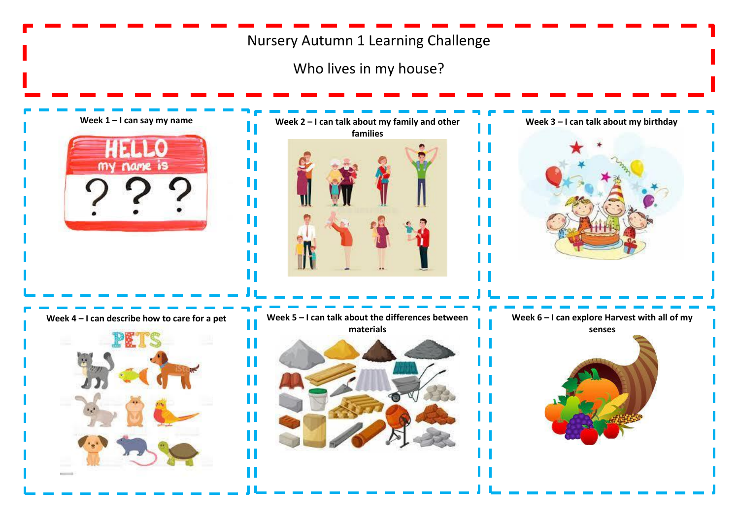# Nursery Autumn 1 Learning Challenge

Who lives in my house?

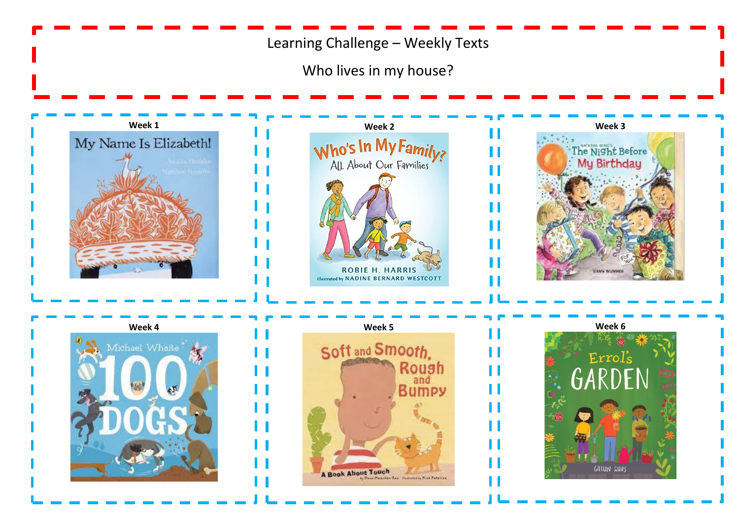